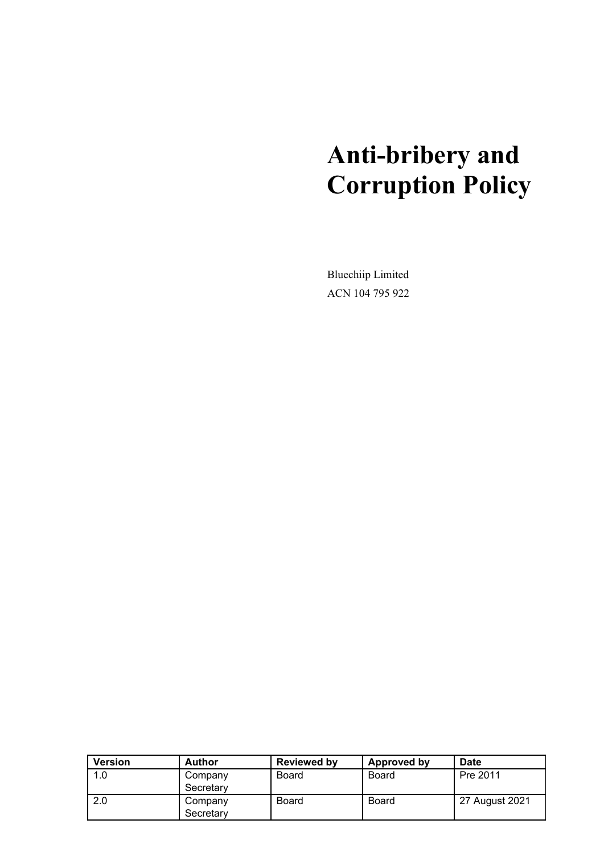# **Anti-bribery and Corruption Policy**

Bluechiip Limited ACN 104 795 922

| <b>Version</b> | Author               | <b>Reviewed by</b> | Approved by  | Date           |
|----------------|----------------------|--------------------|--------------|----------------|
| 1.0            | Company<br>Secretary | Board              | Board        | Pre 2011       |
| 2.0            | Company<br>Secretary | <b>Board</b>       | <b>Board</b> | 27 August 2021 |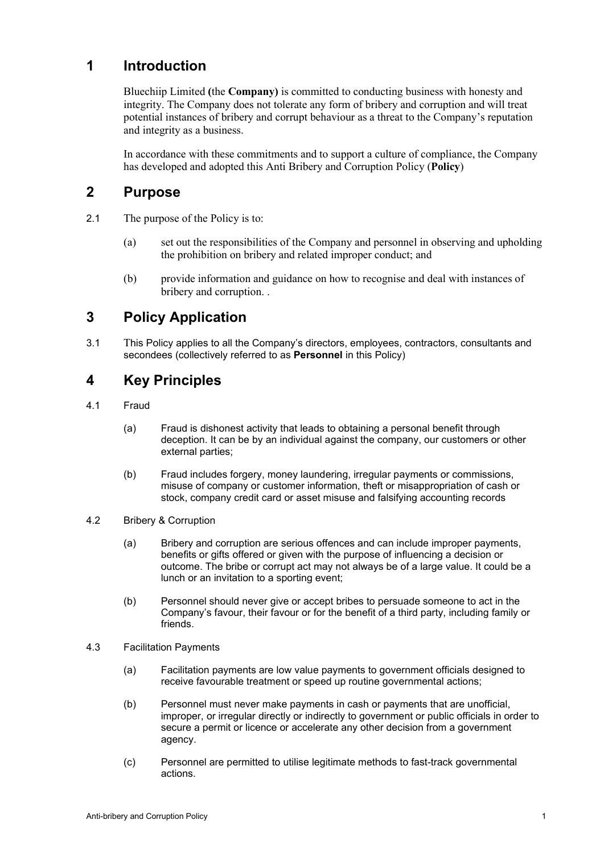#### **1 Introduction**

Bluechiip Limited **(**the **Company)** is committed to conducting business with honesty and integrity. The Company does not tolerate any form of bribery and corruption and will treat potential instances of bribery and corrupt behaviour as a threat to the Company's reputation and integrity as a business.

In accordance with these commitments and to support a culture of compliance, the Company has developed and adopted this Anti Bribery and Corruption Policy (**Policy**)

#### **2 Purpose**

- 2.1 The purpose of the Policy is to:
	- (a) set out the responsibilities of the Company and personnel in observing and upholding the prohibition on bribery and related improper conduct; and
	- (b) provide information and guidance on how to recognise and deal with instances of bribery and corruption. .

#### **3 Policy Application**

3.1 This Policy applies to all the Company's directors, employees, contractors, consultants and secondees (collectively referred to as **Personnel** in this Policy)

## **4 Key Principles**

- 4.1 Fraud
	- (a) Fraud is dishonest activity that leads to obtaining a personal benefit through deception. It can be by an individual against the company, our customers or other external parties;
	- (b) Fraud includes forgery, money laundering, irregular payments or commissions, misuse of company or customer information, theft or misappropriation of cash or stock, company credit card or asset misuse and falsifying accounting records
- 4.2 Bribery & Corruption
	- (a) Bribery and corruption are serious offences and can include improper payments, benefits or gifts offered or given with the purpose of influencing a decision or outcome. The bribe or corrupt act may not always be of a large value. It could be a lunch or an invitation to a sporting event;
	- (b) Personnel should never give or accept bribes to persuade someone to act in the Company's favour, their favour or for the benefit of a third party, including family or friends.
- 4.3 Facilitation Payments
	- (a) Facilitation payments are low value payments to government officials designed to receive favourable treatment or speed up routine governmental actions;
	- (b) Personnel must never make payments in cash or payments that are unofficial, improper, or irregular directly or indirectly to government or public officials in order to secure a permit or licence or accelerate any other decision from a government agency.
	- (c) Personnel are permitted to utilise legitimate methods to fast-track governmental actions.